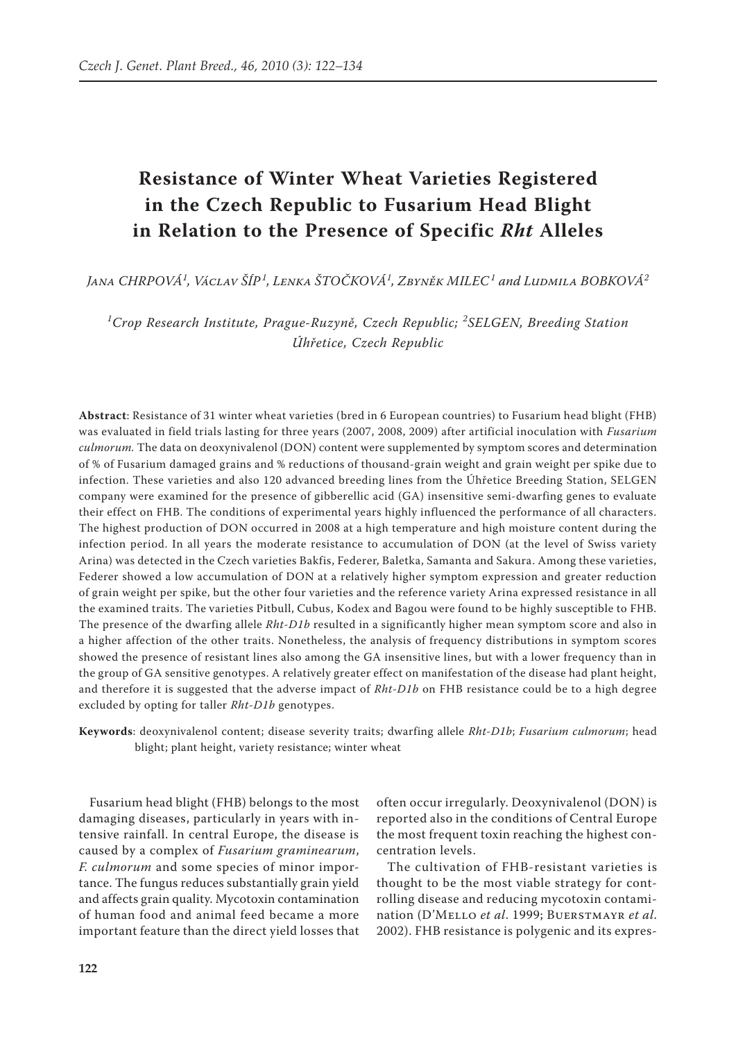# **Resistance of Winter Wheat Varieties Registered in the Czech Republic to Fusarium Head Blight in Relation to the Presence of Specific** *Rht* **Alleles**

*Jana Chrpová<sup>1</sup> , Václav Šíp<sup>1</sup> , Lenka Štočková<sup>1</sup> , Zbyněk Milec <sup>1</sup> and Ludmila Bobková<sup>2</sup>*

<sup>1</sup>Crop Research Institute, Prague-Ruzyně, Czech Republic; <sup>2</sup>SELGEN, Breeding Station *Úhřetice, Czech Republic*

**Abstract**: Resistance of 31 winter wheat varieties (bred in 6 European countries) to Fusarium head blight (FHB) was evaluated in field trials lasting for three years (2007, 2008, 2009) after artificial inoculation with *Fusarium culmorum.* The data on deoxynivalenol (DON) content were supplemented by symptom scores and determination of % of Fusarium damaged grains and % reductions of thousand-grain weight and grain weight per spike due to infection. These varieties and also 120 advanced breeding lines from the Úhřetice Breeding Station, SELGEN company were examined for the presence of gibberellic acid (GA) insensitive semi-dwarfing genes to evaluate their effect on FHB. The conditions of experimental years highly influenced the performance of all characters. The highest production of DON occurred in 2008 at a high temperature and high moisture content during the infection period. In all years the moderate resistance to accumulation of DON (at the level of Swiss variety Arina) was detected in the Czech varieties Bakfis, Federer, Baletka, Samanta and Sakura. Among these varieties, Federer showed a low accumulation of DON at a relatively higher symptom expression and greater reduction of grain weight per spike, but the other four varieties and the reference variety Arina expressed resistance in all the examined traits. The varieties Pitbull, Cubus, Kodex and Bagou were found to be highly susceptible to FHB. The presence of the dwarfing allele *Rht-D1b* resulted in a significantly higher mean symptom score and also in a higher affection of the other traits. Nonetheless, the analysis of frequency distributions in symptom scores showed the presence of resistant lines also among the GA insensitive lines, but with a lower frequency than in the group of GA sensitive genotypes. A relatively greater effect on manifestation of the disease had plant height, and therefore it is suggested that the adverse impact of *Rht-D1b* on FHB resistance could be to a high degree excluded by opting for taller *Rht-D1b* genotypes.

**Keywords**: deoxynivalenol content; disease severity traits; dwarfing allele *Rht-D1b*; *Fusarium culmorum*; head blight; plant height, variety resistance; winter wheat

Fusarium head blight (FHB) belongs to the most damaging diseases, particularly in years with intensive rainfall. In central Europe, the disease is caused by a complex of *Fusarium graminearum*, *F. culmorum* and some species of minor importance. The fungus reduces substantially grain yield and affects grain quality. Mycotoxin contamination of human food and animal feed became a more important feature than the direct yield losses that

often occur irregularly. Deoxynivalenol (DON) is reported also in the conditions of Central Europe the most frequent toxin reaching the highest concentration levels.

The cultivation of FHB-resistant varieties is thought to be the most viable strategy for controlling disease and reducing mycotoxin contamination (D'Mello *et al*. 1999; Buerstmayr *et al*. 2002). FHB resistance is polygenic and its expres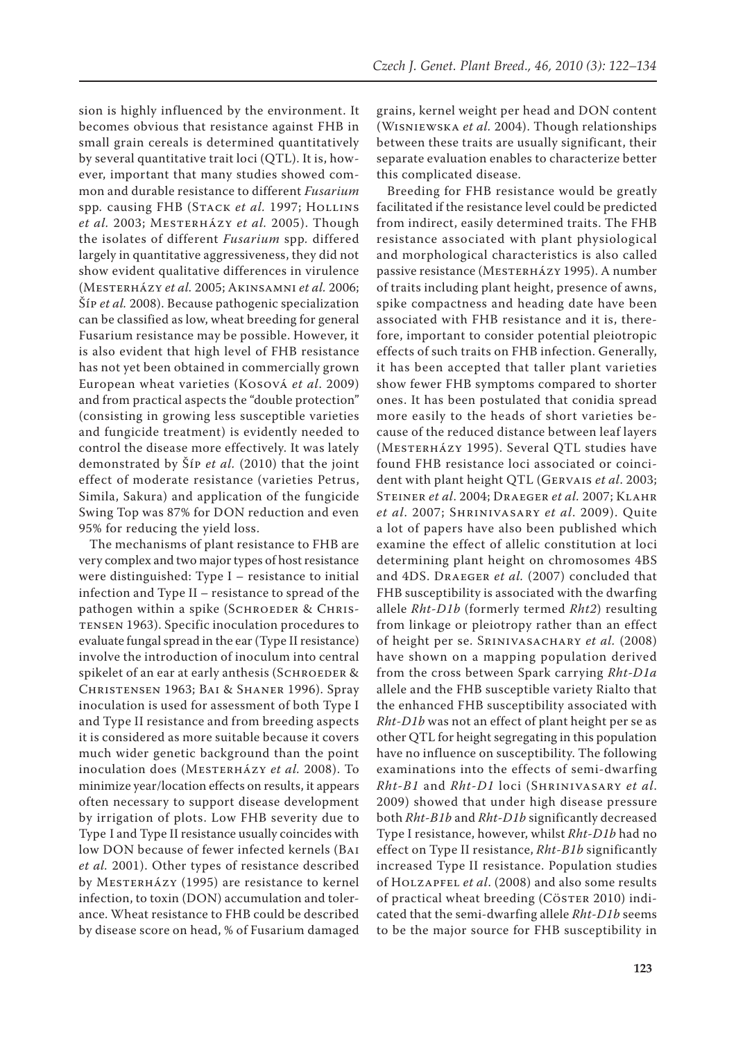sion is highly influenced by the environment. It becomes obvious that resistance against FHB in small grain cereals is determined quantitatively by several quantitative trait loci (QTL). It is, however, important that many studies showed common and durable resistance to different *Fusarium*  spp. causing FHB (STACK *et al.* 1997; HOLLINS *et al.* 2003; Mesterházy *et al.* 2005). Though the isolates of different *Fusarium* spp*.* differed largely in quantitative aggressiveness, they did not show evident qualitative differences in virulence (Mesterházy *et al.* 2005; Akinsamni *et al.* 2006; Šíp *et al.* 2008). Because pathogenic specialization can be classified as low, wheat breeding for general Fusarium resistance may be possible. However, it is also evident that high level of FHB resistance has not yet been obtained in commercially grown European wheat varieties (Kosová *et al*. 2009) and from practical aspects the "double protection" (consisting in growing less susceptible varieties and fungicide treatment) is evidently needed to control the disease more effectively. It was lately demonstrated by Šíp *et al.* (2010) that the joint effect of moderate resistance (varieties Petrus, Simila, Sakura) and application of the fungicide Swing Top was 87% for DON reduction and even 95% for reducing the yield loss.

The mechanisms of plant resistance to FHB are very complex and two major types of host resistance were distinguished: Type I – resistance to initial infection and Type II – resistance to spread of the pathogen within a spike (SCHROEDER & CHRIStensen 1963). Specific inoculation procedures to evaluate fungal spread in the ear (Type II resistance) involve the introduction of inoculum into central spikelet of an ear at early anthesis (SCHROEDER & Christensen 1963; Bai & Shaner 1996). Spray inoculation is used for assessment of both Type I and Type II resistance and from breeding aspects it is considered as more suitable because it covers much wider genetic background than the point inoculation does (Mesterházy *et al.* 2008). To minimize year/location effects on results, it appears often necessary to support disease development by irrigation of plots. Low FHB severity due to Type I and Type II resistance usually coincides with low DON because of fewer infected kernels (Bai *et al.* 2001). Other types of resistance described by MESTERHÁZY (1995) are resistance to kernel infection, to toxin (DON) accumulation and tolerance. Wheat resistance to FHB could be described by disease score on head, % of Fusarium damaged grains, kernel weight per head and DON content (Wisniewska *et al.* 2004). Though relationships between these traits are usually significant, their separate evaluation enables to characterize better this complicated disease.

Breeding for FHB resistance would be greatly facilitated if the resistance level could be predicted from indirect, easily determined traits. The FHB resistance associated with plant physiological and morphological characteristics is also called passive resistance (MESTERHÁZY 1995). A number of traits including plant height, presence of awns, spike compactness and heading date have been associated with FHB resistance and it is, therefore, important to consider potential pleiotropic effects of such traits on FHB infection. Generally, it has been accepted that taller plant varieties show fewer FHB symptoms compared to shorter ones. It has been postulated that conidia spread more easily to the heads of short varieties because of the reduced distance between leaf layers (Mesterházy 1995). Several QTL studies have found FHB resistance loci associated or coincident with plant height QTL (Gervais *et al*. 2003; Steiner *et al*. 2004; Draeger *et al.* 2007; Klahr *et al*. 2007; Shrinivasary *et al*. 2009). Quite a lot of papers have also been published which examine the effect of allelic constitution at loci determining plant height on chromosomes 4BS and 4DS. Draeger *et al.* (2007) concluded that FHB susceptibility is associated with the dwarfing allele *Rht-D1b* (formerly termed *Rht2*) resulting from linkage or pleiotropy rather than an effect of height per se. Srinivasachary *et al.* (2008) have shown on a mapping population derived from the cross between Spark carrying *Rht-D1a* allele and the FHB susceptible variety Rialto that the enhanced FHB susceptibility associated with *Rht-D1b* was not an effect of plant height per se as other QTL for height segregating in this population have no influence on susceptibility. The following examinations into the effects of semi-dwarfing *Rht-B1* and *Rht-D1* loci (Shrinivasary *et al*. 2009) showed that under high disease pressure both *Rht-B1b* and *Rht-D1b* significantly decreased Type I resistance, however, whilst *Rht-D1b* had no effect on Type II resistance, *Rht-B1b* significantly increased Type II resistance. Population studies of Holzapfel *et al*. (2008) and also some results of practical wheat breeding (Cöster 2010) indicated that the semi-dwarfing allele *Rht-D1b* seems to be the major source for FHB susceptibility in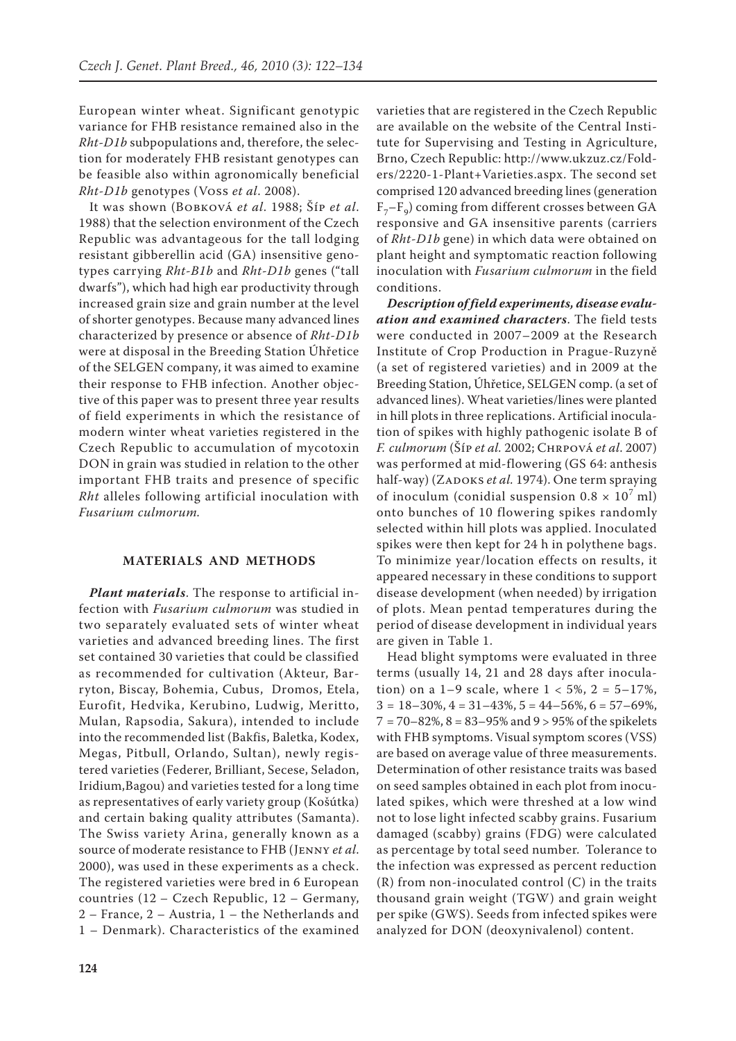European winter wheat. Significant genotypic variance for FHB resistance remained also in the *Rht-D1b* subpopulations and, therefore, the selection for moderately FHB resistant genotypes can be feasible also within agronomically beneficial *Rht-D1b* genotypes (Voss *et al*. 2008).

It was shown (Bobková *et al*. 1988; Šíp *et al*. 1988) that the selection environment of the Czech Republic was advantageous for the tall lodging resistant gibberellin acid (GA) insensitive genotypes carrying *Rht-B1b* and *Rht-D1b* genes ("tall dwarfs"), which had high ear productivity through increased grain size and grain number at the level of shorter genotypes. Because many advanced lines characterized by presence or absence of *Rht-D1b* were at disposal in the Breeding Station Úhřetice of the SELGEN company, it was aimed to examine their response to FHB infection. Another objective of this paper was to present three year results of field experiments in which the resistance of modern winter wheat varieties registered in the Czech Republic to accumulation of mycotoxin DON in grain was studied in relation to the other important FHB traits and presence of specific *Rht* alleles following artificial inoculation with *Fusarium culmorum.*

## **Materials and Methods**

*Plant materials*. The response to artificial infection with *Fusarium culmorum* was studied in two separately evaluated sets of winter wheat varieties and advanced breeding lines. The first set contained 30 varieties that could be classified as recommended for cultivation (Akteur, Barryton, Biscay, Bohemia, Cubus, Dromos, Etela, Eurofit, Hedvika, Kerubino, Ludwig, Meritto, Mulan, Rapsodia, Sakura), intended to include into the recommended list (Bakfis, Baletka, Kodex, Megas, Pitbull, Orlando, Sultan), newly registered varieties (Federer, Brilliant, Secese, Seladon, Iridium,Bagou) and varieties tested for a long time as representatives of early variety group (Košútka) and certain baking quality attributes (Samanta). The Swiss variety Arina, generally known as a source of moderate resistance to FHB (Jenny *et al*. 2000), was used in these experiments as a check. The registered varieties were bred in 6 European countries (12 – Czech Republic, 12 – Germany, 2 – France, 2 – Austria, 1 – the Netherlands and 1 – Denmark). Characteristics of the examined varieties that are registered in the Czech Republic are available on the website of the Central Institute for Supervising and Testing in Agriculture, Brno, Czech Republic: http://www.ukzuz.cz/Folders/2220-1-Plant+Varieties.aspx. The second set comprised 120 advanced breeding lines (generation  $F_7-F_9$ ) coming from different crosses between GA responsive and GA insensitive parents (carriers of *Rht-D1b* gene) in which data were obtained on plant height and symptomatic reaction following inoculation with *Fusarium culmorum* in the field conditions.

*Description of field experiments, disease evaluation and examined characters*. The field tests were conducted in 2007–2009 at the Research Institute of Crop Production in Prague-Ruzyně (a set of registered varieties) and in 2009 at the Breeding Station, Úhřetice, SELGEN comp. (a set of advanced lines). Wheat varieties/lines were planted in hill plots in three replications. Artificial inoculation of spikes with highly pathogenic isolate B of *F. culmorum* (Šíp *et al.* 2002; Chrpová *et al*. 2007) was performed at mid-flowering (GS 64: anthesis half-way) (ZADOKS *et al.* 1974). One term spraying of inoculum (conidial suspension  $0.8 \times 10^7$  ml) onto bunches of 10 flowering spikes randomly selected within hill plots was applied. Inoculated spikes were then kept for 24 h in polythene bags. To minimize year/location effects on results, it appeared necessary in these conditions to support disease development (when needed) by irrigation of plots. Mean pentad temperatures during the period of disease development in individual years are given in Table 1.

Head blight symptoms were evaluated in three terms (usually 14, 21 and 28 days after inoculation) on a 1–9 scale, where  $1 < 5\%$ ,  $2 = 5-17\%$ ,  $3 = 18 - 30\%, 4 = 31 - 43\%, 5 = 44 - 56\%, 6 = 57 - 69\%,$  $7 = 70 - 82\%$ ,  $8 = 83 - 95\%$  and  $9 > 95\%$  of the spikelets with FHB symptoms. Visual symptom scores (VSS) are based on average value of three measurements. Determination of other resistance traits was based on seed samples obtained in each plot from inoculated spikes, which were threshed at a low wind not to lose light infected scabby grains. Fusarium damaged (scabby) grains (FDG) were calculated as percentage by total seed number. Tolerance to the infection was expressed as percent reduction (R) from non-inoculated control (C) in the traits thousand grain weight (TGW) and grain weight per spike (GWS). Seeds from infected spikes were analyzed for DON (deoxynivalenol) content.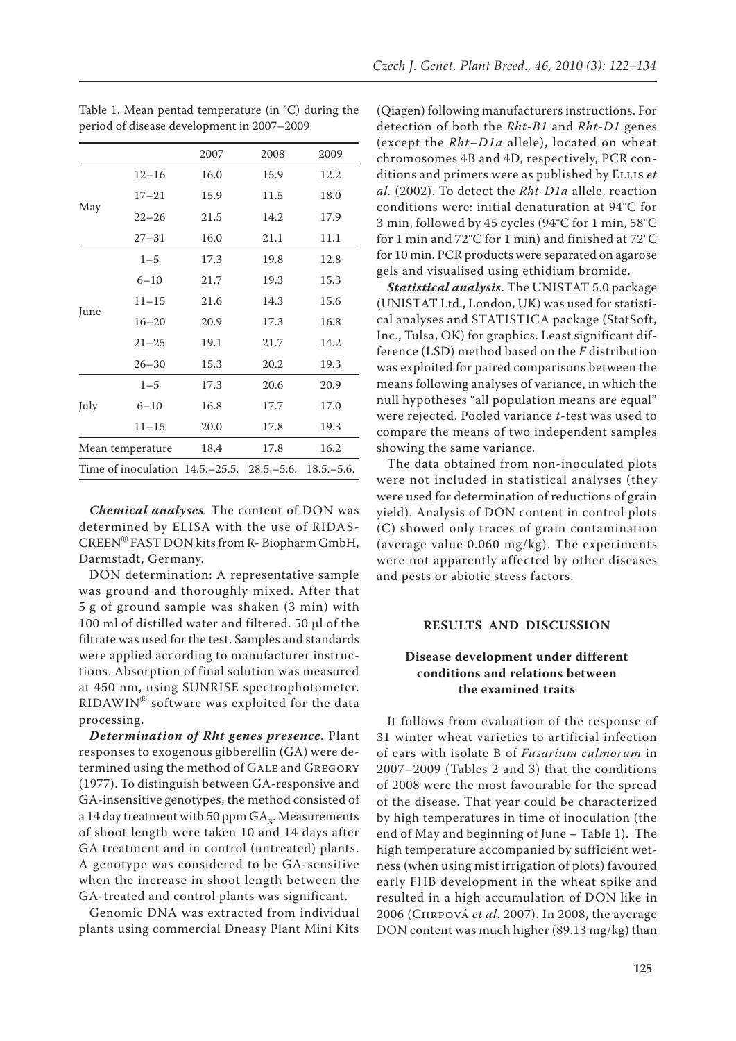|                  | 2007 | 2008 | 2009                                                        |
|------------------|------|------|-------------------------------------------------------------|
| $12 - 16$        | 16.0 | 15.9 | 12.2                                                        |
| $17 - 21$        | 15.9 | 11.5 | 18.0                                                        |
| $22 - 26$        | 21.5 | 14.2 | 17.9                                                        |
| $27 - 31$        | 16.0 | 21.1 | 11.1                                                        |
| $1 - 5$          | 17.3 | 19.8 | 12.8                                                        |
| $6 - 10$         | 21.7 | 19.3 | 15.3                                                        |
| $11 - 15$        | 21.6 | 14.3 | 15.6                                                        |
| $16 - 20$        | 20.9 | 17.3 | 16.8                                                        |
| $21 - 25$        | 19.1 | 21.7 | 14.2                                                        |
| $26 - 30$        | 15.3 | 20.2 | 19.3                                                        |
| $1 - 5$          | 17.3 | 20.6 | 20.9                                                        |
| $6 - 10$         | 16.8 | 17.7 | 17.0                                                        |
| $11 - 15$        | 20.0 | 17.8 | 19.3                                                        |
| Mean temperature |      | 17.8 | 16.2                                                        |
|                  |      |      |                                                             |
|                  |      | 18.4 | Time of inoculation 14.5. - 25.5. 28.5. - 5.6. 18.5. - 5.6. |

Table 1. Mean pentad temperature (in °C) during the period of disease development in 2007–2009

*Chemical analyses.* The content of DON was determined by ELISA with the use of RIDAS-CREEN® FAST DON kits from R- Biopharm GmbH, Darmstadt, Germany.

DON determination: A representative sample was ground and thoroughly mixed. After that 5 g of ground sample was shaken (3 min) with 100 ml of distilled water and filtered. 50 µl of the filtrate was used for the test. Samples and standards were applied according to manufacturer instructions. Absorption of final solution was measured at 450 nm, using SUNRISE spectrophotometer. RIDAWIN® software was exploited for the data processing.

*Determination of Rht genes presence*. Plant responses to exogenous gibberellin (GA) were determined using the method of GALE and GREGORY (1977). To distinguish between GA-responsive and GA-insensitive genotypes, the method consisted of a 14 day treatment with 50 ppm  $GA<sub>3</sub>$ . Measurements of shoot length were taken 10 and 14 days after GA treatment and in control (untreated) plants. A genotype was considered to be GA-sensitive when the increase in shoot length between the GA-treated and control plants was significant.

Genomic DNA was extracted from individual plants using commercial Dneasy Plant Mini Kits

(Qiagen) following manufacturers instructions. For detection of both the *Rht-B1* and *Rht-D1* genes (except the *Rht–D1a* allele), located on wheat chromosomes 4B and 4D, respectively, PCR conditions and primers were as published by Ellis *et al.* (2002). To detect the *Rht-D1a* allele, reaction conditions were: initial denaturation at 94°C for 3 min, followed by 45 cycles (94°C for 1 min, 58°C for 1 min and 72°C for 1 min) and finished at 72°C for 10 min. PCR products were separated on agarose gels and visualised using ethidium bromide.

*Statistical analysis*. The UNISTAT 5.0 package (UNISTAT Ltd., London, UK) was used for statistical analyses and STATISTICA package (StatSoft, Inc., Tulsa, OK) for graphics. Least significant difference (LSD) method based on the *F* distribution was exploited for paired comparisons between the means following analyses of variance, in which the null hypotheses "all population means are equal" were rejected. Pooled variance *t*-test was used to compare the means of two independent samples showing the same variance.

The data obtained from non-inoculated plots were not included in statistical analyses (they were used for determination of reductions of grain yield). Analysis of DON content in control plots (C) showed only traces of grain contamination (average value 0.060 mg/kg). The experiments were not apparently affected by other diseases and pests or abiotic stress factors.

#### **Results and Discussion**

# **Disease development under different conditions and relations between the examined traits**

It follows from evaluation of the response of 31 winter wheat varieties to artificial infection of ears with isolate B of *Fusarium culmorum* in 2007–2009 (Tables 2 and 3) that the conditions of 2008 were the most favourable for the spread of the disease. That year could be characterized by high temperatures in time of inoculation (the end of May and beginning of June – Table 1). The high temperature accompanied by sufficient wetness (when using mist irrigation of plots) favoured early FHB development in the wheat spike and resulted in a high accumulation of DON like in 2006 (Chrpová *et al*. 2007). In 2008, the average DON content was much higher (89.13 mg/kg) than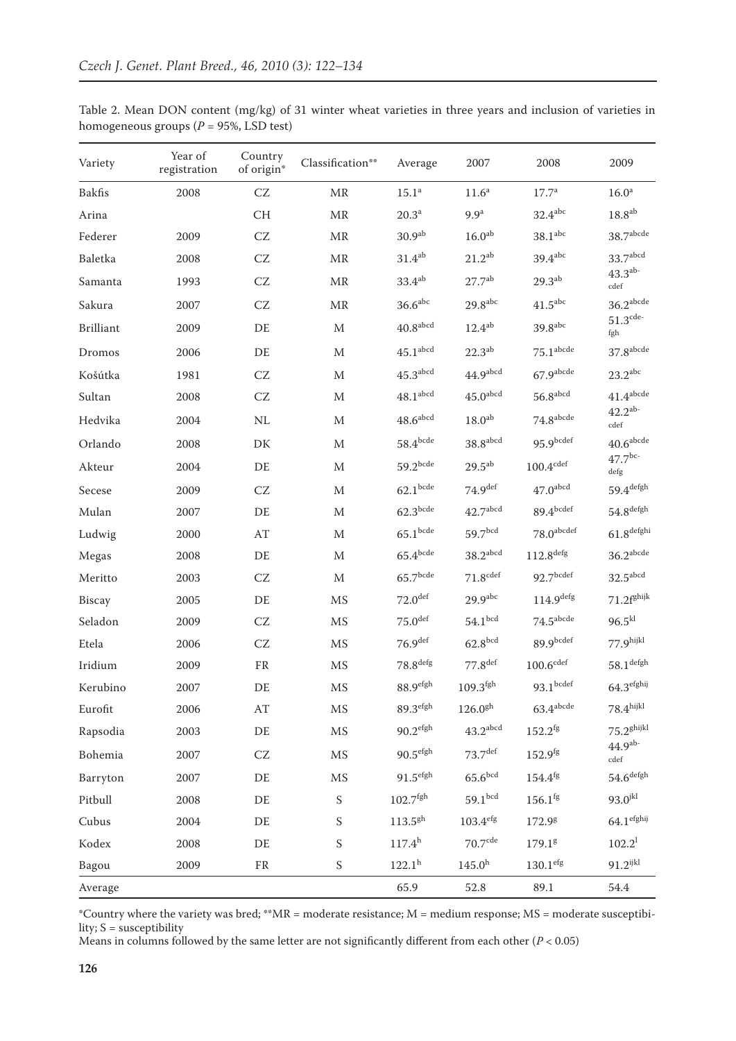Table 2. Mean DON content (mg/kg) of 31 winter wheat varieties in three years and inclusion of varieties in homogeneous groups (*P* = 95%, LSD test)

| Variety          | Year of<br>registration | Country<br>of origin*  | Classification**                  | Average                | 2007                   | 2008                   | 2009                          |
|------------------|-------------------------|------------------------|-----------------------------------|------------------------|------------------------|------------------------|-------------------------------|
| <b>Bakfis</b>    | 2008                    | CZ                     | MR                                | 15.1 <sup>a</sup>      | 11.6 <sup>a</sup>      | $17.7^{\rm a}$         | 16.0 <sup>a</sup>             |
| Arina            |                         | CH                     | MR                                | $20.3\mathrm{^a}$      | 9.9 <sup>a</sup>       | $32.4$ <sup>abc</sup>  | 18.8 <sup>ab</sup>            |
| Federer          | 2009                    | CZ                     | $\ensuremath{\mathsf{MR}}\xspace$ | 30.9 <sup>ab</sup>     | 16.0 <sup>ab</sup>     | $38.1$ <sup>abc</sup>  | 38.7 <sup>abcde</sup>         |
| Baletka          | 2008                    | CZ                     | MR                                | $31.4^{ab}$            | 21.2 <sup>ab</sup>     | $39.4$ abc             | 33.7abcd                      |
| Samanta          | 1993                    | CZ                     | MR                                | $33.4^{ab}$            | 27.7 <sup>ab</sup>     | $29.3^{ab}$            | $43.3^{ab}$<br>cdef           |
| Sakura           | 2007                    | CZ                     | MR                                | $36.6$ abc             | $29.8$ <sup>abc</sup>  | $41.5$ <sup>abc</sup>  | $36.2$ abcde                  |
| <b>Brilliant</b> | 2009                    | DE                     | $\mathbf{M}$                      | 40.8 <sup>abcd</sup>   | $12.4^{ab}$            | $39.8$ abc             | $51.3$ <sup>cde-</sup><br>fgh |
| Dromos           | 2006                    | DE                     | $\mathbf M$                       | $45.1$ <sup>abcd</sup> | $22.3^{ab}$            | 75.1 <sup>abcde</sup>  | 37.8 <sup>abcde</sup>         |
| Košútka          | 1981                    | CZ                     | $\mathbf{M}$                      | $45.3$ abcd            | 44.9 <sup>abcd</sup>   | 67.9 <sup>abcde</sup>  | $23.2$ <sup>abc</sup>         |
| Sultan           | 2008                    | CZ                     | $\mathbf{M}$                      | 48.1 <sup>abcd</sup>   | $45.0$ abcd            | $56.8$ abcd            | $41.4$ abcde                  |
| Hedvika          | 2004                    | <b>NL</b>              | M                                 | $48.6^{\rm abcd}$      | $18.0^{\rm ab}$        | 74.8 <sup>abcde</sup>  | $42.2^{ab}$<br>cdef           |
| Orlando          | 2008                    | DK                     | $\mathbf{M}$                      | $58.4^{bcde}$          | $38.8$ <sup>abcd</sup> | 95.9 <sup>bcdef</sup>  | $40.6^{\rm abcde}$            |
| Akteur           | 2004                    | DE                     | M                                 | $59.2$ bcde            | $29.5^{ab}$            | 100.4 <sup>cdef</sup>  | $47.7^{\rm bc}$<br>defg       |
| Secese           | 2009                    | CZ                     | $\mathbf{M}$                      | $62.1$ bcde            | 74.9 <sup>def</sup>    | 47.0 <sup>abcd</sup>   | $59.4$ defgh                  |
| Mulan            | 2007                    | DE                     | $\mathbf{M}$                      | $62.3$ bcde            | 42.7 <sup>abcd</sup>   | 89.4 <sup>bcdef</sup>  | $54.8^{\text{defgh}}$         |
| Ludwig           | 2000                    | AT                     | $\mathbf{M}$                      | $65.1$ bcde            | 59.7bcd                | 78.0 <sup>abcdef</sup> | $61.8^{\text{defghi}}$        |
| Megas            | 2008                    | DE                     | $\mathbf{M}$                      | $65.4^{bcde}$          | $38.2$ abcd            | $112.8^{\rm defg}$     | $36.2$ abcde                  |
| Meritto          | 2003                    | CZ                     | $\mathbf{M}$                      | $65.7^{\rm bede}$      | $71.8^{\rm cdef}$      | $92.7$ bcdef           | $32.5$ <sup>abcd</sup>        |
| <b>Biscay</b>    | 2005                    | DE                     | <b>MS</b>                         | $72.0$ <sup>def</sup>  | $29.9$ abc             | 114.9 <sup>defg</sup>  | $71.2f^{ghijk}$               |
| Seladon          | 2009                    | CZ                     | MS                                | $75.0^{\rm def}$       | 54.1 <sup>bcd</sup>    | $74.5^{\rm abcde}$     | 96.5 <sup>kl</sup>            |
| Etela            | 2006                    | CZ                     | <b>MS</b>                         | 76.9 <sup>def</sup>    | 62.8 <sup>bcd</sup>    | 89.9bcdef              | 77.9hijkl                     |
| Iridium          | 2009                    | FR                     | MS                                | $78.8$ <sup>defg</sup> | $77.8$ <sup>def</sup>  | $100.6$ cdef           | $58.1$ <sup>defgh</sup>       |
| Kerubino         | 2007                    | DE                     | <b>MS</b>                         | 88.9 <sup>efgh</sup>   | 109.3 <sup>fgh</sup>   | 93.1 <sup>bcdef</sup>  | $64.3$ <sup>efghij</sup>      |
| Eurofit          | 2006                    | $\mathbf{A}\mathbf{T}$ | <b>MS</b>                         | $89.3^{\rm efgh}$      | 126.0 <sup>gh</sup>    | $63.4^{\rm abcde}$     | $78.4^{\rm {hijkl}}$          |
| Rapsodia         | 2003                    | $\rm DE$               | <b>MS</b>                         | $90.2$ efgh            | $43.2$ abcd            | $152.2^{fg}$           | 75.2 <sup>ghijkl</sup>        |
| Bohemia          | 2007                    | ${\rm CZ}$             | MS                                | $90.5^{\text{efgh}}$   | $73.7$ <sup>def</sup>  | 152.9 <sup>fg</sup>    | $44.9^{ab}$<br>cdef           |
| Barryton         | 2007                    | DE                     | <b>MS</b>                         | $91.5^{\text{efgh}}$   | 65.6 <sup>bcd</sup>    | $154.4^{fg}$           | $54.6$ <sup>defgh</sup>       |
| Pitbull          | 2008                    | $\rm{DE}$              | $\boldsymbol{S}$                  | $102.7$ <sup>fgh</sup> | 59.1 <sup>bcd</sup>    | $156.1^{fg}$           | 93.0 <sup>jkl</sup>           |
| Cubus            | 2004                    | $\rm{DE}$              | $\mathbf S$                       | $113.5^\mathrm{gh}$    | 103.4 <sup>efg</sup>   | 172.98                 | $64.1$ <sup>efghij</sup>      |
| Kodex            | 2008                    | DE                     | $\mathbf S$                       | $117.4^{\rm h}$        | $70.7$ <sup>cde</sup>  | 179.18                 | $102.2^{\rm l}$               |
| Bagou            | 2009                    | ${\rm FR}$             | $\boldsymbol{S}$                  | $122.1^h$              | 145.0 <sup>h</sup>     | $130.1^{\rm efg}$      | $91.2$ ijkl                   |
| Average          |                         |                        |                                   | 65.9                   | 52.8                   | 89.1                   | 54.4                          |

\*Country where the variety was bred; \*\*MR = moderate resistance; M = medium response; MS = moderate susceptibility;  $S =$  susceptibility

Means in columns followed by the same letter are not significantly different from each other (*P* < 0.05)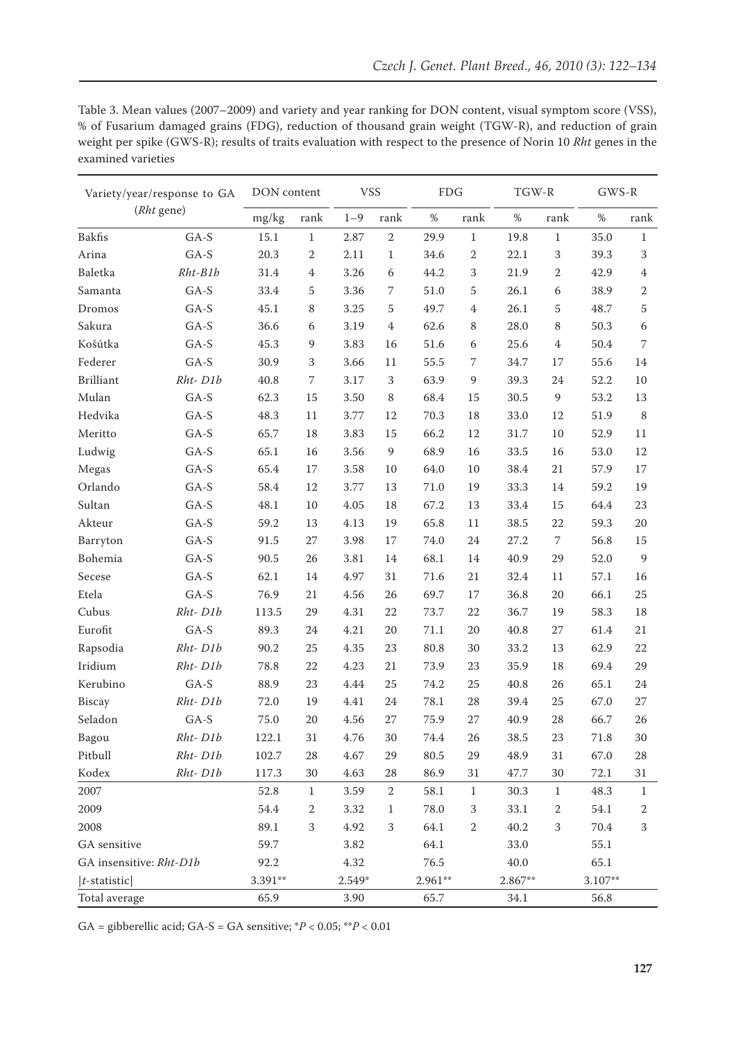| Table 3. Mean values (2007–2009) and variety and year ranking for DON content, visual symptom score (VSS),              |
|-------------------------------------------------------------------------------------------------------------------------|
| % of Fusarium damaged grains (FDG), reduction of thousand grain weight (TGW-R), and reduction of grain                  |
| weight per spike (GWS-R); results of traits evaluation with respect to the presence of Norin 10 <i>Rht</i> genes in the |
| examined varieties                                                                                                      |

| Variety/year/response to GA<br>(Rht gene) |               | DON content |                | <b>VSS</b> |                  | ${\rm FDG}$ |                  | TGW-R    |              | GWS-R    |                |
|-------------------------------------------|---------------|-------------|----------------|------------|------------------|-------------|------------------|----------|--------------|----------|----------------|
|                                           |               | mg/kg       | rank           | $1 - 9$    | rank             | $\%$        | rank             | $\%$     | rank         | $\%$     | rank           |
| <b>Bakfis</b>                             | $GA-S$        | 15.1        | $\mathbf{1}$   | 2.87       | $\mathbf{2}$     | 29.9        | $\mathbf{1}$     | 19.8     | $\mathbf{1}$ | 35.0     | $\mathbf{1}$   |
| Arina                                     | $GA-S$        | 20.3        | 2              | 2.11       | $\mathbf{1}$     | 34.6        | $\sqrt{2}$       | 22.1     | 3            | 39.3     | $\,3$          |
| Baletka                                   | $Rht-B1b$     | 31.4        | $\overline{4}$ | 3.26       | 6                | 44.2        | 3                | 21.9     | 2            | 42.9     | $\overline{4}$ |
| Samanta                                   | $GA-S$        | 33.4        | 5              | 3.36       | $\overline{7}$   | 51.0        | 5                | 26.1     | 6            | 38.9     | $\mathbf{2}$   |
| Dromos                                    | $GA-S$        | 45.1        | 8              | 3.25       | 5                | 49.7        | $\overline{4}$   | 26.1     | 5            | 48.7     | 5              |
| Sakura                                    | $GA-S$        | 36.6        | 6              | 3.19       | $\boldsymbol{4}$ | 62.6        | 8                | 28.0     | 8            | 50.3     | 6              |
| Košútka                                   | $GA-S$        | 45.3        | 9              | 3.83       | 16               | 51.6        | 6                | 25.6     | $\bf 4$      | 50.4     | 7              |
| Federer                                   | $GA-S$        | 30.9        | 3              | 3.66       | 11               | 55.5        | 7                | 34.7     | 17           | 55.6     | 14             |
| <b>Brilliant</b>                          | $Rht$ - $D1b$ | 40.8        | 7              | 3.17       | $\sqrt{3}$       | 63.9        | $\overline{9}$   | 39.3     | $24\,$       | 52.2     | 10             |
| Mulan                                     | $GA-S$        | 62.3        | 15             | 3.50       | $\,8\,$          | 68.4        | $15\,$           | 30.5     | 9            | 53.2     | 13             |
| Hedvika                                   | $GA-S$        | 48.3        | 11             | 3.77       | 12               | 70.3        | 18               | 33.0     | 12           | 51.9     | 8              |
| Meritto                                   | $GA-S$        | 65.7        | 18             | 3.83       | 15               | 66.2        | 12               | 31.7     | 10           | 52.9     | 11             |
| Ludwig                                    | $GA-S$        | 65.1        | 16             | 3.56       | $\boldsymbol{9}$ | 68.9        | 16               | 33.5     | 16           | 53.0     | 12             |
| Megas                                     | $GA-S$        | 65.4        | $17\,$         | 3.58       | 10               | 64.0        | 10               | 38.4     | 21           | 57.9     | 17             |
| Orlando                                   | $GA-S$        | 58.4        | 12             | 3.77       | 13               | 71.0        | 19               | 33.3     | 14           | 59.2     | 19             |
| Sultan                                    | $GA-S$        | 48.1        | 10             | 4.05       | 18               | 67.2        | 13               | 33.4     | 15           | 64.4     | 23             |
| Akteur                                    | $GA-S$        | 59.2        | 13             | 4.13       | 19               | 65.8        | $11\,$           | 38.5     | $22\,$       | 59.3     | $20\,$         |
| Barryton                                  | $GA-S$        | 91.5        | 27             | 3.98       | 17               | 74.0        | $24\,$           | 27.2     | 7            | 56.8     | 15             |
| Bohemia                                   | $GA-S$        | 90.5        | 26             | 3.81       | 14               | 68.1        | 14               | 40.9     | 29           | 52.0     | 9              |
| Secese                                    | $GA-S$        | 62.1        | 14             | 4.97       | 31               | 71.6        | 21               | 32.4     | 11           | 57.1     | 16             |
| Etela                                     | $GA-S$        | 76.9        | 21             | 4.56       | 26               | 69.7        | 17               | 36.8     | 20           | 66.1     | 25             |
| Cubus                                     | $Rht$ - $D1b$ | 113.5       | 29             | 4.31       | 22               | 73.7        | 22               | 36.7     | 19           | 58.3     | 18             |
| Eurofit                                   | $GA-S$        | 89.3        | 24             | 4.21       | 20               | 71.1        | 20               | 40.8     | $27\,$       | 61.4     | 21             |
| Rapsodia                                  | $Rht$ - $D1b$ | 90.2        | $25\,$         | 4.35       | 23               | 80.8        | $30\,$           | 33.2     | 13           | 62.9     | 22             |
| Iridium                                   | $Rht$ - $D1b$ | 78.8        | $22\,$         | 4.23       | 21               | 73.9        | 23               | 35.9     | 18           | 69.4     | 29             |
| Kerubino                                  | $GA-S$        | 88.9        | 23             | 4.44       | 25               | 74.2        | 25               | 40.8     | 26           | 65.1     | 24             |
| <b>Biscay</b>                             | $Rht$ - $D1b$ | 72.0        | 19             | 4.41       | 24               | 78.1        | $28\,$           | 39.4     | $25\,$       | 67.0     | 27             |
| Seladon                                   | $GA-S$        | 75.0        | 20             | 4.56       | 27               | 75.9        | 27               | 40.9     | 28           | 66.7     | 26             |
| Bagou                                     | Rht-D1b       | 122.1       | $31\,$         | 4.76       | 30               | $74.4\,$    | $26\,$           | $38.5\,$ | $23\,$       | $71.8\,$ | 30             |
| Pitbull                                   | Rht-D1b       | 102.7       | $\sqrt{28}$    | 4.67       | 29               | 80.5        | 29               | 48.9     | $31\,$       | 67.0     | 28             |
| Kodex                                     | $Rht$ - $D1b$ | 117.3       | $30\,$         | 4.63       | 28               | 86.9        | 31               | 47.7     | $30\,$       | 72.1     | 31             |
| 2007                                      |               | 52.8        | $\mathbf{1}$   | 3.59       | $\sqrt{2}$       | 58.1        | 1                | 30.3     | $\mathbf{1}$ | 48.3     | $\mathbf{1}$   |
| 2009                                      |               | 54.4        | 2              | 3.32       | $\mathbf{1}$     | 78.0        | 3                | 33.1     | 2            | 54.1     | 2              |
| 2008                                      |               | 89.1        | 3              | 4.92       | 3                | 64.1        | $\boldsymbol{2}$ | 40.2     | 3            | 70.4     | 3              |
| GA sensitive                              |               | 59.7        |                | 3.82       |                  | 64.1        |                  | 33.0     |              | 55.1     |                |
| GA insensitive: Rht-D1b                   |               | 92.2        |                | 4.32       |                  | 76.5        |                  | 40.0     |              | 65.1     |                |
| $ t\text{-statistic} $                    |               | 3.391**     |                | 2.549*     |                  | $2.961**$   |                  | 2.867**  |              | 3.107**  |                |
| Total average                             |               | 65.9        |                | 3.90       |                  | 65.7        |                  | 34.1     |              | 56.8     |                |

GA = gibberellic acid; GA-S = GA sensitive;  $^*P < 0.05$ ;  $^{**}P < 0.01$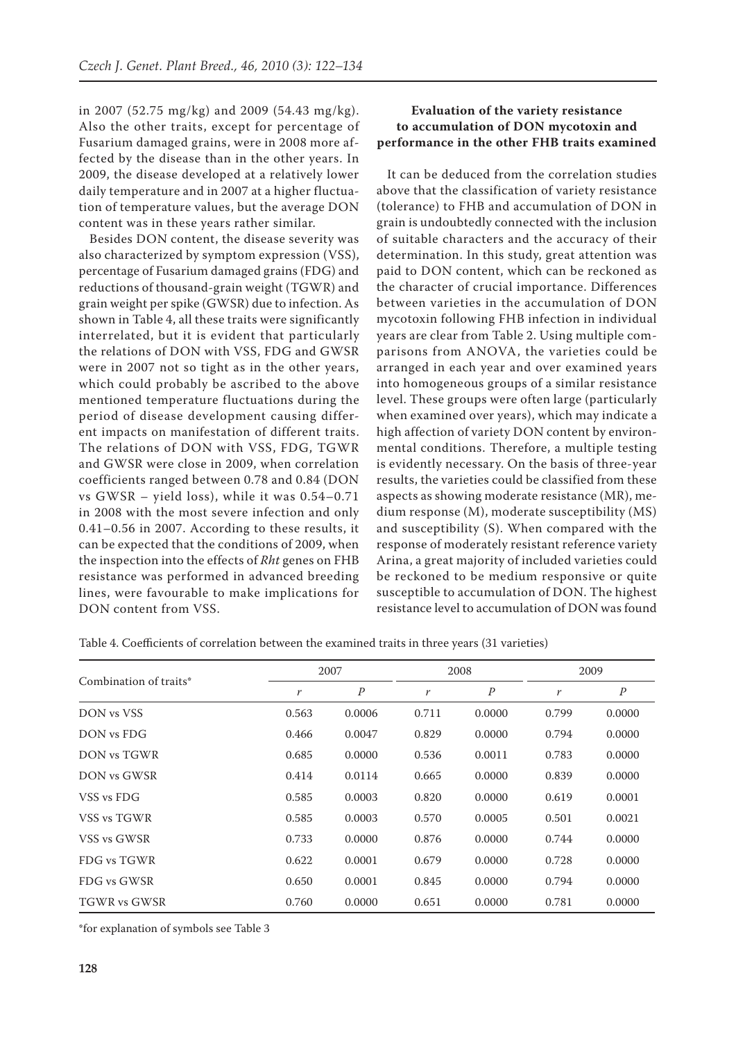in 2007 (52.75 mg/kg) and 2009 (54.43 mg/kg). Also the other traits, except for percentage of Fusarium damaged grains, were in 2008 more affected by the disease than in the other years. In 2009, the disease developed at a relatively lower daily temperature and in 2007 at a higher fluctuation of temperature values, but the average DON content was in these years rather similar.

Besides DON content, the disease severity was also characterized by symptom expression (VSS), percentage of Fusarium damaged grains (FDG) and reductions of thousand-grain weight (TGWR) and grain weight per spike (GWSR) due to infection. As shown in Table 4, all these traits were significantly interrelated, but it is evident that particularly the relations of DON with VSS, FDG and GWSR were in 2007 not so tight as in the other years, which could probably be ascribed to the above mentioned temperature fluctuations during the period of disease development causing different impacts on manifestation of different traits. The relations of DON with VSS, FDG, TGWR and GWSR were close in 2009, when correlation coefficients ranged between 0.78 and 0.84 (DON vs GWSR – yield loss), while it was 0.54–0.71 in 2008 with the most severe infection and only 0.41–0.56 in 2007. According to these results, it can be expected that the conditions of 2009, when the inspection into the effects of *Rht* genes on FHB resistance was performed in advanced breeding lines, were favourable to make implications for DON content from VSS.

# **Evaluation of the variety resistance to accumulation of DON mycotoxin and performance in the other FHB traits examined**

It can be deduced from the correlation studies above that the classification of variety resistance (tolerance) to FHB and accumulation of DON in grain is undoubtedly connected with the inclusion of suitable characters and the accuracy of their determination. In this study, great attention was paid to DON content, which can be reckoned as the character of crucial importance. Differences between varieties in the accumulation of DON mycotoxin following FHB infection in individual years are clear from Table 2. Using multiple comparisons from ANOVA, the varieties could be arranged in each year and over examined years into homogeneous groups of a similar resistance level. These groups were often large (particularly when examined over years), which may indicate a high affection of variety DON content by environmental conditions. Therefore, a multiple testing is evidently necessary. On the basis of three-year results, the varieties could be classified from these aspects as showing moderate resistance (MR), medium response (M), moderate susceptibility (MS) and susceptibility (S). When compared with the response of moderately resistant reference variety Arina, a great majority of included varieties could be reckoned to be medium responsive or quite susceptible to accumulation of DON. The highest resistance level to accumulation of DON was found

Combination of traits\* 2007 2008 2009 *r P r P r P* DON vs VSS 0.563 0.0006 0.711 0.0000 0.799 0.0000 DON vs FDG 0.466 0.0047 0.829 0.0000 0.794 0.0000 DON vs TGWR 0.685 0.0000 0.536 0.0011 0.783 0.0000 DON vs GWSR 0.414 0.0114 0.665 0.0000 0.839 0.0000 VSS vs FDG 0.585 0.0003 0.820 0.0000 0.619 0.0001 VSS vs TGWR 0.585 0.0003 0.570 0.0005 0.501 0.0021 VSS vs GWSR 0.733 0.0000 0.876 0.0000 0.744 0.0000 FDG vs TGWR 0.622 0.0001 0.679 0.0000 0.728 0.0000 FDG vs GWSR 0.650 0.0001 0.845 0.0000 0.794 0.0000 TGWR vs GWSR 0.760 0.0000 0.651 0.0000 0.781 0.0000

Table 4. Coefficients of correlation between the examined traits in three years (31 varieties)

\*for explanation of symbols see Table 3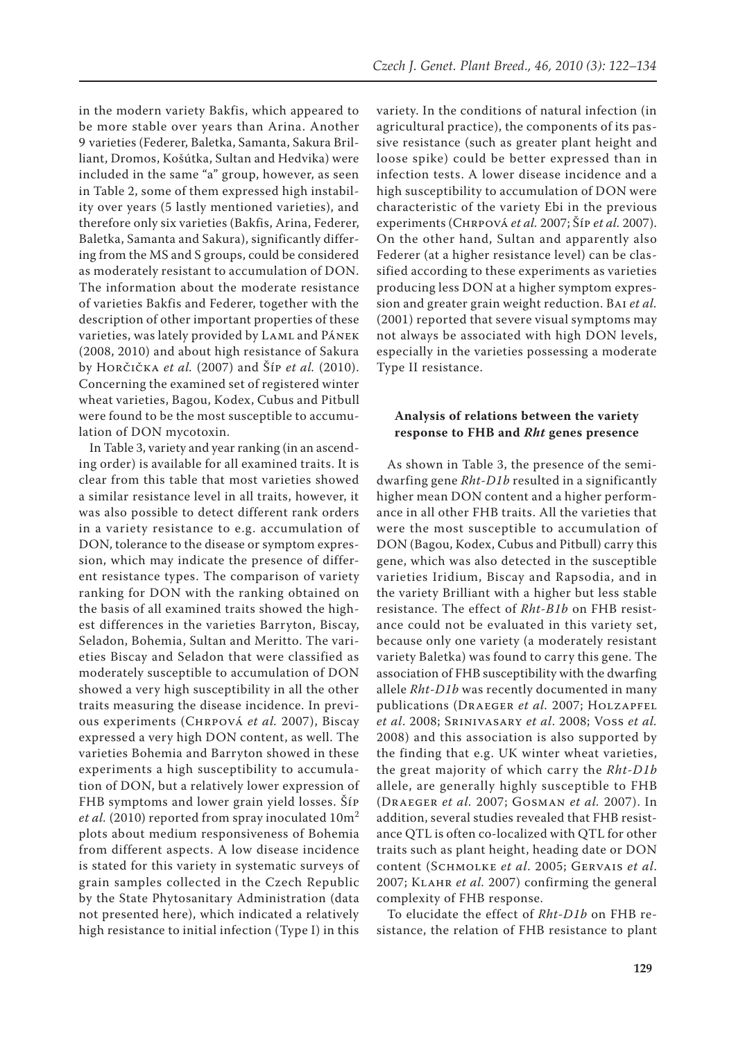in the modern variety Bakfis, which appeared to be more stable over years than Arina. Another 9 varieties (Federer, Baletka, Samanta, Sakura Brilliant, Dromos, Košútka, Sultan and Hedvika) were included in the same "a" group, however, as seen in Table 2, some of them expressed high instability over years (5 lastly mentioned varieties), and therefore only six varieties (Bakfis, Arina, Federer, Baletka, Samanta and Sakura), significantly differing from the MS and S groups, could be considered as moderately resistant to accumulation of DON. The information about the moderate resistance of varieties Bakfis and Federer, together with the description of other important properties of these varieties, was lately provided by Laml and Pánek (2008, 2010) and about high resistance of Sakura by Horčička *et al.* (2007) and Šíp *et al.* (2010). Concerning the examined set of registered winter wheat varieties, Bagou, Kodex, Cubus and Pitbull were found to be the most susceptible to accumulation of DON mycotoxin.

In Table 3, variety and year ranking (in an ascending order) is available for all examined traits. It is clear from this table that most varieties showed a similar resistance level in all traits, however, it was also possible to detect different rank orders in a variety resistance to e.g. accumulation of DON, tolerance to the disease or symptom expression, which may indicate the presence of different resistance types. The comparison of variety ranking for DON with the ranking obtained on the basis of all examined traits showed the highest differences in the varieties Barryton, Biscay, Seladon, Bohemia, Sultan and Meritto. The varieties Biscay and Seladon that were classified as moderately susceptible to accumulation of DON showed a very high susceptibility in all the other traits measuring the disease incidence. In previous experiments (Chrpová *et al.* 2007), Biscay expressed a very high DON content, as well. The varieties Bohemia and Barryton showed in these experiments a high susceptibility to accumulation of DON, but a relatively lower expression of FHB symptoms and lower grain yield losses. Šíp et al. (2010) reported from spray inoculated 10m<sup>2</sup> plots about medium responsiveness of Bohemia from different aspects. A low disease incidence is stated for this variety in systematic surveys of grain samples collected in the Czech Republic by the State Phytosanitary Administration (data not presented here), which indicated a relatively high resistance to initial infection (Type I) in this variety. In the conditions of natural infection (in agricultural practice), the components of its passive resistance (such as greater plant height and loose spike) could be better expressed than in infection tests. A lower disease incidence and a high susceptibility to accumulation of DON were characteristic of the variety Ebi in the previous experiments (Chrpová *et al.* 2007; Šíp *et al.* 2007). On the other hand, Sultan and apparently also Federer (at a higher resistance level) can be classified according to these experiments as varieties producing less DON at a higher symptom expression and greater grain weight reduction. Bai *et al.* (2001) reported that severe visual symptoms may not always be associated with high DON levels, especially in the varieties possessing a moderate Type II resistance.

# **Analysis of relations between the variety response to FHB and** *Rht* **genes presence**

As shown in Table 3, the presence of the semidwarfing gene *Rht-D1b* resulted in a significantly higher mean DON content and a higher performance in all other FHB traits. All the varieties that were the most susceptible to accumulation of DON (Bagou, Kodex, Cubus and Pitbull) carry this gene, which was also detected in the susceptible varieties Iridium, Biscay and Rapsodia, and in the variety Brilliant with a higher but less stable resistance. The effect of *Rht-B1b* on FHB resistance could not be evaluated in this variety set, because only one variety (a moderately resistant variety Baletka) was found to carry this gene. The association of FHB susceptibility with the dwarfing allele *Rht-D1b* was recently documented in many publications (Draeger *et al.* 2007; Holzapfel *et al*. 2008; Srinivasary *et al*. 2008; Voss *et al.* 2008) and this association is also supported by the finding that e.g. UK winter wheat varieties, the great majority of which carry the *Rht-D1b* allele, are generally highly susceptible to FHB (Draeger *et al.* 2007; Gosman *et al.* 2007). In addition, several studies revealed that FHB resistance QTL is often co-localized with QTL for other traits such as plant height, heading date or DON content (Schmolke *et al*. 2005; Gervais *et al*. 2007; Klahr *et al.* 2007) confirming the general complexity of FHB response.

To elucidate the effect of *Rht-D1b* on FHB resistance, the relation of FHB resistance to plant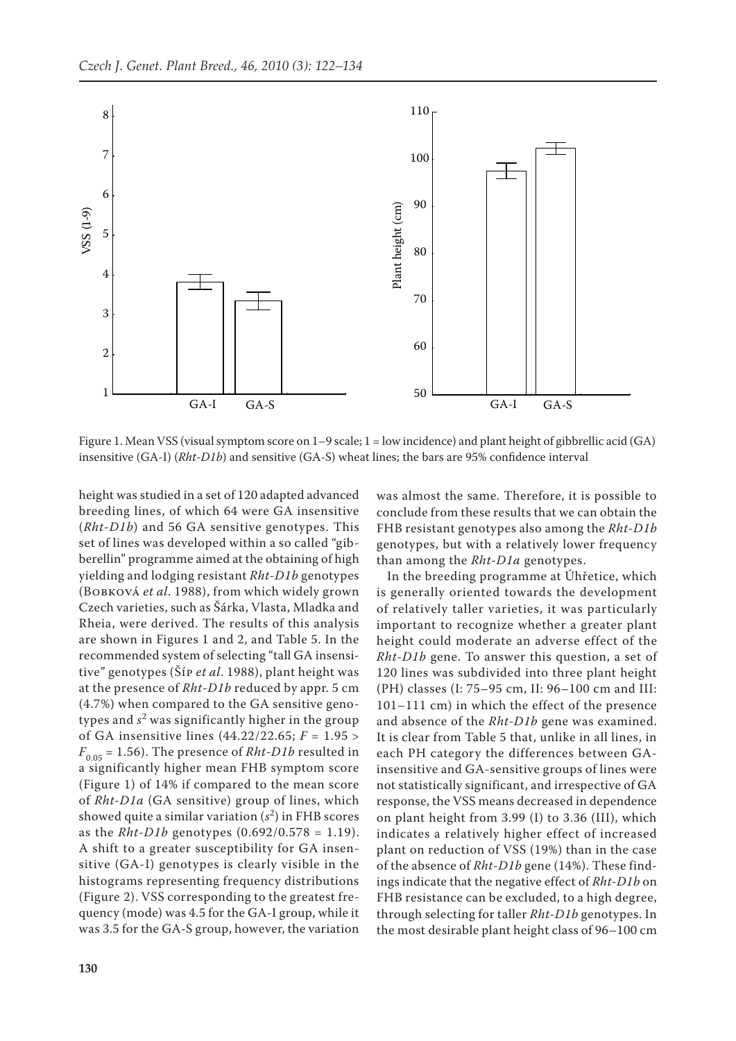

Figure 1. Mean VSS (visual symptom score on 1–9 scale; 1 = low incidence) and plant height of gibbrellic acid (GA) insensitive (GA-I) (*Rht-D1b*) and sensitive (GA-S) wheat lines; the bars are 95% confidence interval

height was studied in a set of 120 adapted advanced breeding lines, of which 64 were GA insensitive (*Rht-D1b*) and 56 GA sensitive genotypes. This set of lines was developed within a so called "gibberellin" programme aimed at the obtaining of high yielding and lodging resistant *Rht-D1b* genotypes (Bobková *et al*. 1988), from which widely grown Czech varieties, such as Šárka, Vlasta, Mladka and Rheia, were derived. The results of this analysis are shown in Figures 1 and 2, and Table 5. In the recommended system of selecting "tall GA insensitive" genotypes (Šíp *et al*. 1988), plant height was at the presence of *Rht-D1b* reduced by appr. 5 cm (4.7%) when compared to the GA sensitive genotypes and *s*<sup>2</sup> was significantly higher in the group of GA insensitive lines (44.22/22.65; *F* = 1.95 >  $F_{0.05}$  = 1.56). The presence of *Rht-D1b* resulted in a significantly higher mean FHB symptom score (Figure 1) of 14% if compared to the mean score of *Rht-D1a* (GA sensitive) group of lines, which showed quite a similar variation (*s* 2 ) in FHB scores as the *Rht-D1b* genotypes  $(0.692/0.578 = 1.19)$ . A shift to a greater susceptibility for GA insensitive (GA-I) genotypes is clearly visible in the histograms representing frequency distributions (Figure 2). VSS corresponding to the greatest frequency (mode) was 4.5 for the GA-I group, while it was 3.5 for the GA-S group, however, the variation

was almost the same. Therefore, it is possible to conclude from these results that we can obtain the FHB resistant genotypes also among the *Rht-D1b* genotypes, but with a relatively lower frequency than among the *Rht-D1a* genotypes.

In the breeding programme at Úhřetice, which is generally oriented towards the development of relatively taller varieties, it was particularly important to recognize whether a greater plant height could moderate an adverse effect of the *Rht-D1b* gene. To answer this question, a set of 120 lines was subdivided into three plant height (PH) classes (I: 75–95 cm, II: 96–100 cm and III: 101–111 cm) in which the effect of the presence and absence of the *Rht-D1b* gene was examined. It is clear from Table 5 that, unlike in all lines, in each PH category the differences between GAinsensitive and GA-sensitive groups of lines were not statistically significant, and irrespective of GA response, the VSS means decreased in dependence on plant height from 3.99 (I) to 3.36 (III), which indicates a relatively higher effect of increased plant on reduction of VSS (19%) than in the case of the absence of *Rht-D1b* gene (14%). These findings indicate that the negative effect of *Rht-D1b* on FHB resistance can be excluded, to a high degree, through selecting for taller *Rht-D1b* genotypes. In the most desirable plant height class of 96–100 cm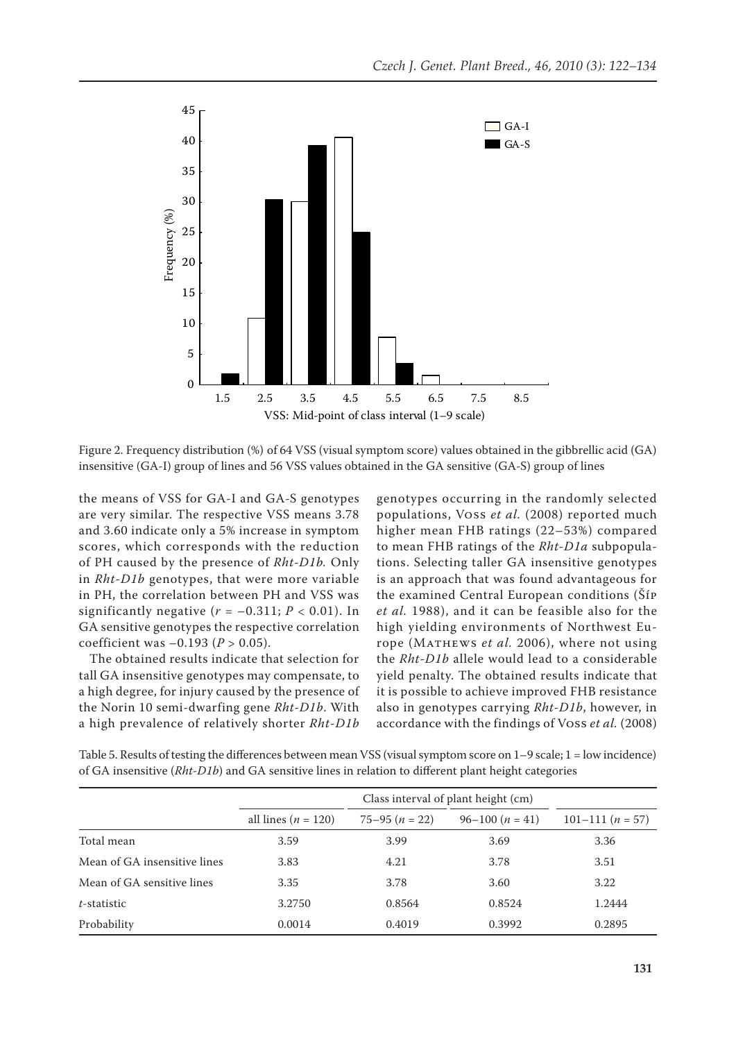

Figure 2. Frequency distribution (%) of 64 VSS (visual symptom score) values obtained in the gibbrellic acid (GA) insensitive (GA-I) group of lines and 56 VSS values obtained in the GA sensitive (GA-S) group of lines

the means of VSS for GA-I and GA-S genotypes are very similar. The respective VSS means 3.78 and 3.60 indicate only a 5% increase in symptom scores, which corresponds with the reduction of PH caused by the presence of *Rht-D1b.* Only in *Rht-D1b* genotypes, that were more variable in PH, the correlation between PH and VSS was significantly negative  $(r = -0.311; P < 0.01)$ . In GA sensitive genotypes the respective correlation coefficient was –0.193 (*P* > 0.05).

The obtained results indicate that selection for tall GA insensitive genotypes may compensate, to a high degree, for injury caused by the presence of the Norin 10 semi-dwarfing gene *Rht-D1b*. With a high prevalence of relatively shorter *Rht-D1b* 

genotypes occurring in the randomly selected populations, Voss *et al.* (2008) reported much higher mean FHB ratings (22–53%) compared to mean FHB ratings of the *Rht-D1a* subpopulations. Selecting taller GA insensitive genotypes is an approach that was found advantageous for the examined Central European conditions (Šíp *et al.* 1988), and it can be feasible also for the high yielding environments of Northwest Europe (Mathews *et al.* 2006), where not using the *Rht-D1b* allele would lead to a considerable yield penalty. The obtained results indicate that it is possible to achieve improved FHB resistance also in genotypes carrying *Rht-D1b*, however, in accordance with the findings of Voss *et al.* (2008)

| of Givenstributive (twill DTD) and Givenstribute three in relation to different plant neight categories |                         |                    |                |                     |  |  |  |  |  |
|---------------------------------------------------------------------------------------------------------|-------------------------|--------------------|----------------|---------------------|--|--|--|--|--|
|                                                                                                         |                         |                    |                |                     |  |  |  |  |  |
|                                                                                                         | all lines ( $n = 120$ ) | $75 - 95 (n = 22)$ | $96-100(n=41)$ | $101 - 111(n = 57)$ |  |  |  |  |  |
| Total mean                                                                                              | 3.59                    | 3.99               | 3.69           | 3.36                |  |  |  |  |  |
| Mean of GA insensitive lines                                                                            | 3.83                    | 4.21               | 3.78           | 3.51                |  |  |  |  |  |
| Mean of GA sensitive lines                                                                              | 3.35                    | 3.78               | 3.60           | 3.22                |  |  |  |  |  |
| t-statistic                                                                                             | 3.2750                  | 0.8564             | 0.8524         | 1.2444              |  |  |  |  |  |
| Probability                                                                                             | 0.0014                  | 0.4019             | 0.3992         | 0.2895              |  |  |  |  |  |

Table 5. Results of testing the differences between mean VSS (visual symptom score on 1–9 scale; 1 = low incidence) of GA insensitive (*Rht-D1b*) and GA sensitive lines in relation to different plant height categories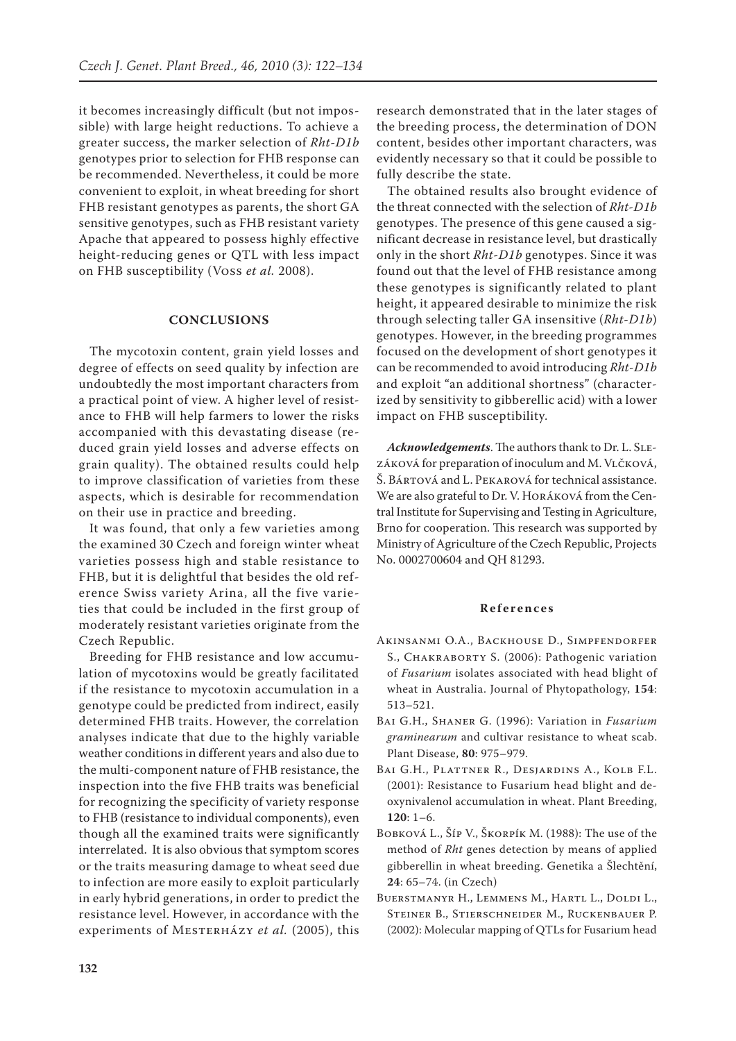it becomes increasingly difficult (but not impossible) with large height reductions. To achieve a greater success, the marker selection of *Rht-D1b* genotypes prior to selection for FHB response can be recommended. Nevertheless, it could be more convenient to exploit, in wheat breeding for short FHB resistant genotypes as parents, the short GA sensitive genotypes, such as FHB resistant variety Apache that appeared to possess highly effective height-reducing genes or QTL with less impact on FHB susceptibility (Voss *et al.* 2008).

## **CONCLUSIONS**

The mycotoxin content, grain yield losses and degree of effects on seed quality by infection are undoubtedly the most important characters from a practical point of view. A higher level of resistance to FHB will help farmers to lower the risks accompanied with this devastating disease (reduced grain yield losses and adverse effects on grain quality). The obtained results could help to improve classification of varieties from these aspects, which is desirable for recommendation on their use in practice and breeding.

It was found, that only a few varieties among the examined 30 Czech and foreign winter wheat varieties possess high and stable resistance to FHB, but it is delightful that besides the old reference Swiss variety Arina, all the five varieties that could be included in the first group of moderately resistant varieties originate from the Czech Republic.

Breeding for FHB resistance and low accumulation of mycotoxins would be greatly facilitated if the resistance to mycotoxin accumulation in a genotype could be predicted from indirect, easily determined FHB traits. However, the correlation analyses indicate that due to the highly variable weather conditions in different years and also due to the multi-component nature of FHB resistance, the inspection into the five FHB traits was beneficial for recognizing the specificity of variety response to FHB (resistance to individual components), even though all the examined traits were significantly interrelated. It is also obvious that symptom scores or the traits measuring damage to wheat seed due to infection are more easily to exploit particularly in early hybrid generations, in order to predict the resistance level. However, in accordance with the experiments of MESTERHÁZY *et al.* (2005), this research demonstrated that in the later stages of the breeding process, the determination of DON content, besides other important characters, was evidently necessary so that it could be possible to fully describe the state.

The obtained results also brought evidence of the threat connected with the selection of *Rht-D1b* genotypes. The presence of this gene caused a significant decrease in resistance level, but drastically only in the short *Rht-D1b* genotypes. Since it was found out that the level of FHB resistance among these genotypes is significantly related to plant height, it appeared desirable to minimize the risk through selecting taller GA insensitive (*Rht-D1b*) genotypes. However, in the breeding programmes focused on the development of short genotypes it can be recommended to avoid introducing *Rht-D1b* and exploit "an additional shortness" (characterized by sensitivity to gibberellic acid) with a lower impact on FHB susceptibility.

Acknowledgements. The authors thank to Dr. L. SLEzáková for preparation of inoculum and M. Vlčková, Š. Bártová and L. Pekarová for technical assistance. We are also grateful to Dr. V. HORÁKOVÁ from the Central Institute for Supervising and Testing in Agriculture, Brno for cooperation. This research was supported by Ministry of Agriculture of the Czech Republic, Projects No. 0002700604 and QH 81293.

#### **R e f e r e n c e s**

- Akinsanmi O.A., Backhouse D., Simpfendorfer S., Chakraborty S. (2006): Pathogenic variation of *Fusarium* isolates associated with head blight of wheat in Australia. Journal of Phytopathology, **154**: 513–521.
- Bai G.H., Shaner G. (1996): Variation in *Fusarium graminearum* and cultivar resistance to wheat scab. Plant Disease, **80**: 975–979.
- BAI G.H., PLATTNER R., DESJARDINS A., KOLB F.L. (2001): Resistance to Fusarium head blight and deoxynivalenol accumulation in wheat. Plant Breeding, **120**: 1–6.
- Bobková L., Šíp V., Škorpík M. (1988): The use of the method of *Rht* genes detection by means of applied gibberellin in wheat breeding. Genetika a Šlechtění, **24**: 65–74. (in Czech)
- Buerstmanyr H., Lemmens M., Hartl L., Doldi L., Steiner B., Stierschneider M., Ruckenbauer P. (2002): Molecular mapping of QTLs for Fusarium head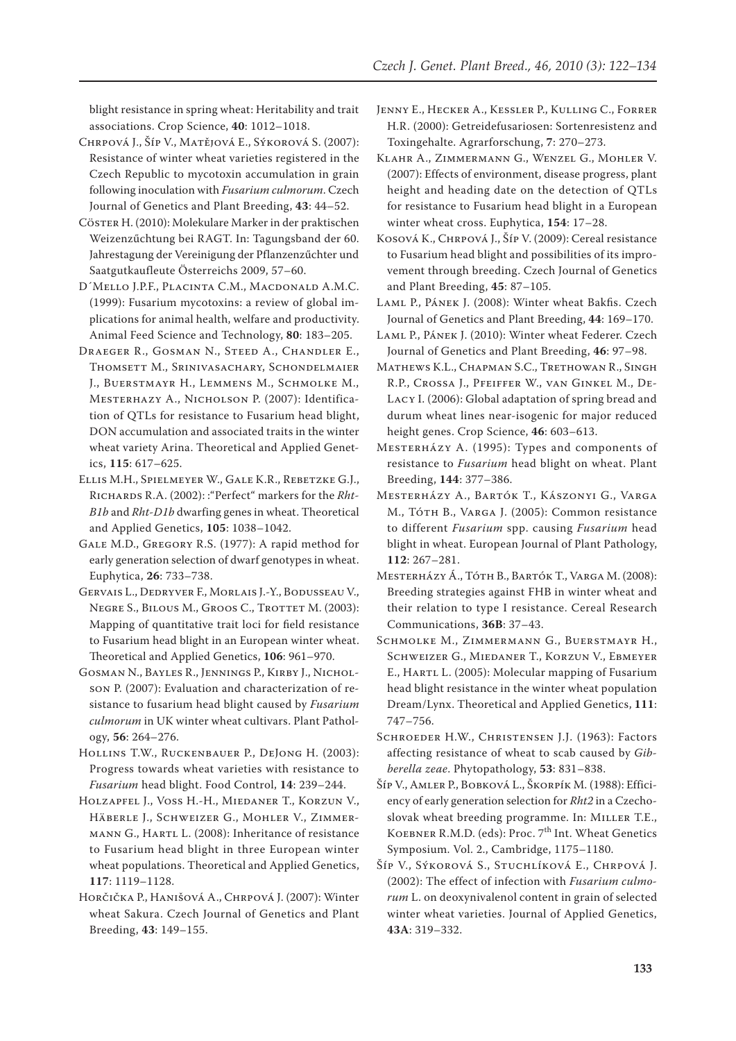blight resistance in spring wheat: Heritability and trait associations. Crop Science, **40**: 1012–1018.

- Chrpová J., Šíp V., Matějová E., Sýkorová S. (2007): Resistance of winter wheat varieties registered in the Czech Republic to mycotoxin accumulation in grain following inoculation with *Fusarium culmorum*. Czech Journal of Genetics and Plant Breeding, **43**: 44–52.
- Cöster H. (2010): Molekulare Marker in der praktischen Weizenzűchtung bei RAGT. In: Tagungsband der 60. Jahrestagung der Vereinigung der Pflanzenzűchter und Saatgutkaufleute Österreichs 2009, 57–60.
- D´Mello J.P.F., Placinta C.M., Macdonald A.M.C. (1999): Fusarium mycotoxins: a review of global implications for animal health, welfare and productivity. Animal Feed Science and Technology, **80**: 183–205.
- Draeger R., Gosman N., Steed A., Chandler E., Thomsett M., Srinivasachary, Schondelmaier J., Buerstmayr H., Lemmens M., Schmolke M., Mesterhazy A., Nicholson P. (2007): Identification of QTLs for resistance to Fusarium head blight, DON accumulation and associated traits in the winter wheat variety Arina. Theoretical and Applied Genetics, **115**: 617–625.
- Ellis M.H., Spielmeyer W., Gale K.R., Rebetzke G.J., Richards R.A. (2002): :"Perfect" markers for the *Rht-B1b* and *Rht-D1b* dwarfing genes in wheat. Theoretical and Applied Genetics, **105**: 1038–1042.
- Gale M.D., Gregory R.S. (1977): A rapid method for early generation selection of dwarf genotypes in wheat. Euphytica, **26**: 733–738.
- Gervais L., Dedryver F., Morlais J.-Y., Bodusseau V., NEGRE S., BILOUS M., GROOS C., TROTTET M. (2003): Mapping of quantitative trait loci for field resistance to Fusarium head blight in an European winter wheat. Theoretical and Applied Genetics, **106**: 961–970.
- Gosman N., Bayles R., Jennings P., Kirby J., Nicholson P. (2007): Evaluation and characterization of resistance to fusarium head blight caused by *Fusarium culmorum* in UK winter wheat cultivars. Plant Pathology, **56**: 264–276.
- Hollins T.W., Ruckenbauer P., DeJong H. (2003): Progress towards wheat varieties with resistance to *Fusarium* head blight. Food Control, **14**: 239–244.
- Holzapfel J., Voss H.-H., Miedaner T., Korzun V., Häberle J., Schweizer G., Mohler V., Zimmermann G., Hartl L. (2008): Inheritance of resistance to Fusarium head blight in three European winter wheat populations. Theoretical and Applied Genetics, **117**: 1119–1128.
- Horčička P., Hanišová A., Chrpová J. (2007): Winter wheat Sakura. Czech Journal of Genetics and Plant Breeding, **43**: 149–155.
- Jenny E., Hecker A., Kessler P., Kulling C., Forrer H.R. (2000): Getreidefusariosen: Sortenresistenz and Toxingehalte. Agrarforschung, **7**: 270–273.
- Klahr A., Zimmermann G., Wenzel G., Mohler V. (2007): Effects of environment, disease progress, plant height and heading date on the detection of QTLs for resistance to Fusarium head blight in a European winter wheat cross. Euphytica, **154**: 17–28.
- Kosová K., Chrpová J., Šíp V. (2009): Cereal resistance to Fusarium head blight and possibilities of its improvement through breeding. Czech Journal of Genetics and Plant Breeding, **45**: 87–105.
- Laml P., Pánek J. (2008): Winter wheat Bakfis. Czech Journal of Genetics and Plant Breeding, **44**: 169–170.
- Laml P., Pánek J. (2010): Winter wheat Federer. Czech Journal of Genetics and Plant Breeding, **46**: 97–98.
- MATHEWS K.L., CHAPMAN S.C., TRETHOWAN R., SINGH R.P., Crossa J., Pfeiffer W., van Ginkel M., De-Lacy I. (2006): Global adaptation of spring bread and durum wheat lines near-isogenic for major reduced height genes. Crop Science, **46**: 603–613.
- Mesterházy A. (1995): Types and components of resistance to *Fusarium* head blight on wheat. Plant Breeding, **144**: 377–386.
- Mesterházy A., Bartók T., Kászonyi G., Varga M., TÓTH B., VARGA J. (2005): Common resistance to different *Fusarium* spp. causing *Fusarium* head blight in wheat. European Journal of Plant Pathology, **112**: 267–281.
- Mesterházy Á., Tóth B., Bartók T., Varga M. (2008): Breeding strategies against FHB in winter wheat and their relation to type I resistance. Cereal Research Communications, **36B**: 37–43.
- Schmolke M., Zimmermann G., Buerstmayr H., Schweizer G., Miedaner T., Korzun V., Ebmeyer E., HARTL L. (2005): Molecular mapping of Fusarium head blight resistance in the winter wheat population Dream/Lynx. Theoretical and Applied Genetics, **111**: 747–756.
- Schroeder H.W., Christensen J.J. (1963): Factors affecting resistance of wheat to scab caused by *Gibberella zeae*. Phytopathology, **53**: 831–838.
- Šíp V., Amler P., Bobková L., Škorpík M. (1988): Efficiency of early generation selection for *Rht2* in a Czechoslovak wheat breeding programme. In: MILLER T.E., KOEBNER R.M.D. (eds): Proc. 7<sup>th</sup> Int. Wheat Genetics Symposium. Vol. 2., Cambridge, 1175–1180.
- Šíp V., Sýkorová S., Stuchlíková E., Chrpová J. (2002): The effect of infection with *Fusarium culmorum* L. on deoxynivalenol content in grain of selected winter wheat varieties. Journal of Applied Genetics, **43A**: 319–332.